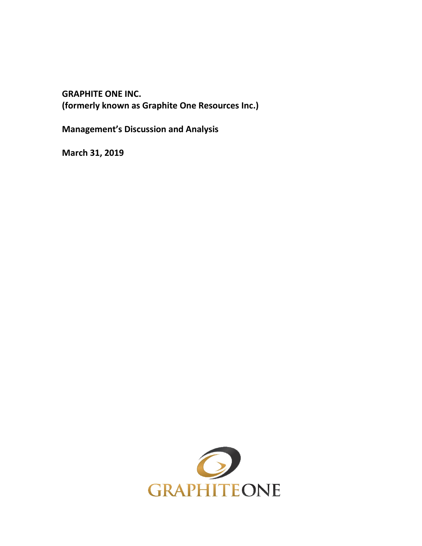**GRAPHITE ONE INC. (formerly known as Graphite One Resources Inc.)**

**Management's Discussion and Analysis**

**March 31, 2019**

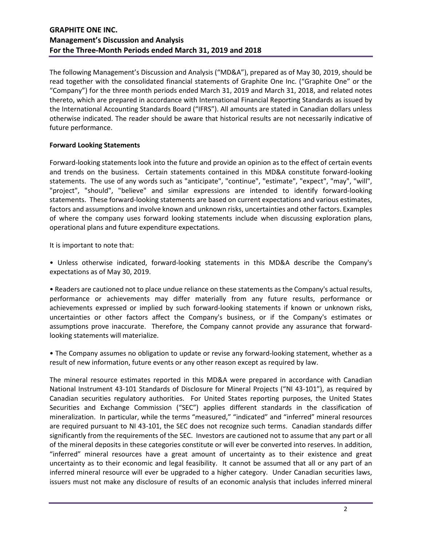The following Management's Discussion and Analysis ("MD&A"), prepared as of May 30, 2019, should be read together with the consolidated financial statements of Graphite One Inc. ("Graphite One" or the "Company") for the three month periods ended March 31, 2019 and March 31, 2018, and related notes thereto, which are prepared in accordance with International Financial Reporting Standards as issued by the International Accounting Standards Board ("IFRS"). All amounts are stated in Canadian dollars unless otherwise indicated. The reader should be aware that historical results are not necessarily indicative of future performance.

### **Forward Looking Statements**

Forward-looking statements look into the future and provide an opinion as to the effect of certain events and trends on the business. Certain statements contained in this MD&A constitute forward-looking statements. The use of any words such as "anticipate", "continue", "estimate", "expect", "may", "will", "project", "should", "believe" and similar expressions are intended to identify forward-looking statements. These forward-looking statements are based on current expectations and various estimates, factors and assumptions and involve known and unknown risks, uncertainties and other factors. Examples of where the company uses forward looking statements include when discussing exploration plans, operational plans and future expenditure expectations.

It is important to note that:

• Unless otherwise indicated, forward-looking statements in this MD&A describe the Company's expectations as of May 30, 2019.

• Readers are cautioned not to place undue reliance on these statements as the Company's actual results, performance or achievements may differ materially from any future results, performance or achievements expressed or implied by such forward-looking statements if known or unknown risks, uncertainties or other factors affect the Company's business, or if the Company's estimates or assumptions prove inaccurate. Therefore, the Company cannot provide any assurance that forwardlooking statements will materialize.

• The Company assumes no obligation to update or revise any forward-looking statement, whether as a result of new information, future events or any other reason except as required by law.

The mineral resource estimates reported in this MD&A were prepared in accordance with Canadian National Instrument 43-101 Standards of Disclosure for Mineral Projects ("NI 43-101"), as required by Canadian securities regulatory authorities. For United States reporting purposes, the United States Securities and Exchange Commission ("SEC") applies different standards in the classification of mineralization. In particular, while the terms "measured," "indicated" and "inferred" mineral resources are required pursuant to NI 43-101, the SEC does not recognize such terms. Canadian standards differ significantly from the requirements of the SEC. Investors are cautioned not to assume that any part or all of the mineral deposits in these categories constitute or will ever be converted into reserves. In addition, "inferred" mineral resources have a great amount of uncertainty as to their existence and great uncertainty as to their economic and legal feasibility. It cannot be assumed that all or any part of an inferred mineral resource will ever be upgraded to a higher category. Under Canadian securities laws, issuers must not make any disclosure of results of an economic analysis that includes inferred mineral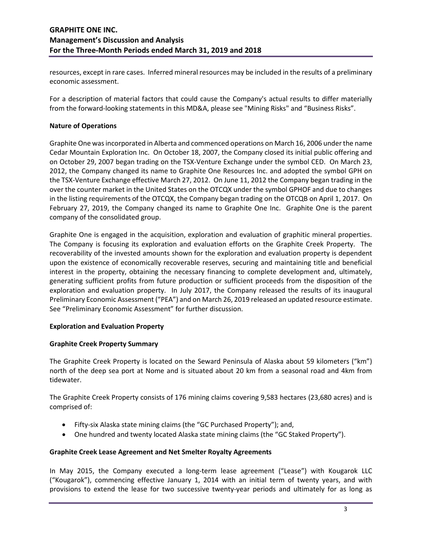resources, except in rare cases. Inferred mineral resources may be included in the results of a preliminary economic assessment.

For a description of material factors that could cause the Company's actual results to differ materially from the forward-looking statements in this MD&A, please see "Mining Risks" and "Business Risks".

### **Nature of Operations**

Graphite One was incorporated in Alberta and commenced operations on March 16, 2006 under the name Cedar Mountain Exploration Inc. On October 18, 2007, the Company closed its initial public offering and on October 29, 2007 began trading on the TSX-Venture Exchange under the symbol CED. On March 23, 2012, the Company changed its name to Graphite One Resources Inc. and adopted the symbol GPH on the TSX-Venture Exchange effective March 27, 2012. On June 11, 2012 the Company began trading in the over the counter market in the United States on the OTCQX under the symbol GPHOF and due to changes in the listing requirements of the OTCQX, the Company began trading on the OTCQB on April 1, 2017. On February 27, 2019, the Company changed its name to Graphite One Inc. Graphite One is the parent company of the consolidated group.

Graphite One is engaged in the acquisition, exploration and evaluation of graphitic mineral properties. The Company is focusing its exploration and evaluation efforts on the Graphite Creek Property. The recoverability of the invested amounts shown for the exploration and evaluation property is dependent upon the existence of economically recoverable reserves, securing and maintaining title and beneficial interest in the property, obtaining the necessary financing to complete development and, ultimately, generating sufficient profits from future production or sufficient proceeds from the disposition of the exploration and evaluation property. In July 2017, the Company released the results of its inaugural Preliminary Economic Assessment ("PEA") and on March 26, 2019 released an updated resource estimate. See "Preliminary Economic Assessment" for further discussion.

## **Exploration and Evaluation Property**

### **Graphite Creek Property Summary**

The Graphite Creek Property is located on the Seward Peninsula of Alaska about 59 kilometers ("km") north of the deep sea port at Nome and is situated about 20 km from a seasonal road and 4km from tidewater.

The Graphite Creek Property consists of 176 mining claims covering 9,583 hectares (23,680 acres) and is comprised of:

- Fifty-six Alaska state mining claims (the "GC Purchased Property"); and,
- One hundred and twenty located Alaska state mining claims (the "GC Staked Property").

## **Graphite Creek Lease Agreement and Net Smelter Royalty Agreements**

In May 2015, the Company executed a long-term lease agreement ("Lease") with Kougarok LLC ("Kougarok"), commencing effective January 1, 2014 with an initial term of twenty years, and with provisions to extend the lease for two successive twenty-year periods and ultimately for as long as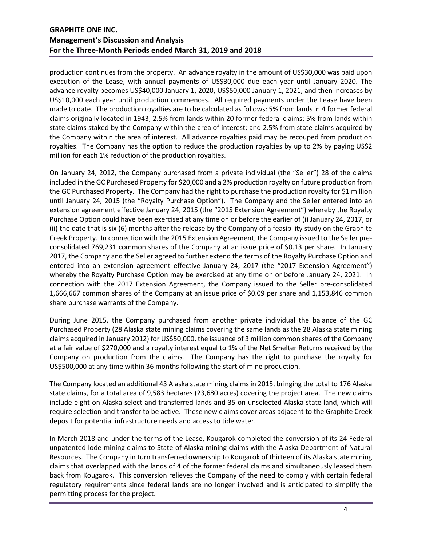production continues from the property. An advance royalty in the amount of US\$30,000 was paid upon execution of the Lease, with annual payments of US\$30,000 due each year until January 2020. The advance royalty becomes US\$40,000 January 1, 2020, US\$50,000 January 1, 2021, and then increases by US\$10,000 each year until production commences. All required payments under the Lease have been made to date. The production royalties are to be calculated as follows: 5% from lands in 4 former federal claims originally located in 1943; 2.5% from lands within 20 former federal claims; 5% from lands within state claims staked by the Company within the area of interest; and 2.5% from state claims acquired by the Company within the area of interest. All advance royalties paid may be recouped from production royalties. The Company has the option to reduce the production royalties by up to 2% by paying US\$2 million for each 1% reduction of the production royalties.

On January 24, 2012, the Company purchased from a private individual (the "Seller") 28 of the claims included in the GC Purchased Property for \$20,000 and a 2% production royalty on future production from the GC Purchased Property. The Company had the right to purchase the production royalty for \$1 million until January 24, 2015 (the "Royalty Purchase Option"). The Company and the Seller entered into an extension agreement effective January 24, 2015 (the "2015 Extension Agreement") whereby the Royalty Purchase Option could have been exercised at any time on or before the earlier of (i) January 24, 2017, or (ii) the date that is six (6) months after the release by the Company of a feasibility study on the Graphite Creek Property. In connection with the 2015 Extension Agreement, the Company issued to the Seller preconsolidated 769,231 common shares of the Company at an issue price of \$0.13 per share. In January 2017, the Company and the Seller agreed to further extend the terms of the Royalty Purchase Option and entered into an extension agreement effective January 24, 2017 (the "2017 Extension Agreement") whereby the Royalty Purchase Option may be exercised at any time on or before January 24, 2021. In connection with the 2017 Extension Agreement, the Company issued to the Seller pre-consolidated 1,666,667 common shares of the Company at an issue price of \$0.09 per share and 1,153,846 common share purchase warrants of the Company.

During June 2015, the Company purchased from another private individual the balance of the GC Purchased Property (28 Alaska state mining claims covering the same lands as the 28 Alaska state mining claims acquired in January 2012) for US\$50,000, the issuance of 3 million common shares of the Company at a fair value of \$270,000 and a royalty interest equal to 1% of the Net Smelter Returns received by the Company on production from the claims. The Company has the right to purchase the royalty for US\$500,000 at any time within 36 months following the start of mine production.

The Company located an additional 43 Alaska state mining claims in 2015, bringing the total to 176 Alaska state claims, for a total area of 9,583 hectares (23,680 acres) covering the project area. The new claims include eight on Alaska select and transferred lands and 35 on unselected Alaska state land, which will require selection and transfer to be active. These new claims cover areas adjacent to the Graphite Creek deposit for potential infrastructure needs and access to tide water.

In March 2018 and under the terms of the Lease, Kougarok completed the conversion of its 24 Federal unpatented lode mining claims to State of Alaska mining claims with the Alaska Department of Natural Resources. The Company in turn transferred ownership to Kougarok of thirteen of its Alaska state mining claims that overlapped with the lands of 4 of the former federal claims and simultaneously leased them back from Kougarok. This conversion relieves the Company of the need to comply with certain federal regulatory requirements since federal lands are no longer involved and is anticipated to simplify the permitting process for the project.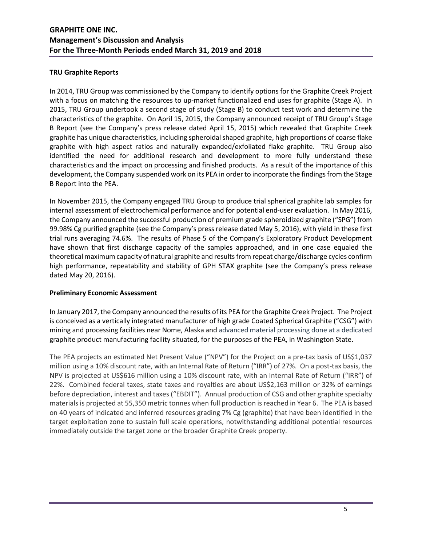### **TRU Graphite Reports**

In 2014, TRU Group was commissioned by the Company to identify options for the Graphite Creek Project with a focus on matching the resources to up-market functionalized end uses for graphite (Stage A). In 2015, TRU Group undertook a second stage of study (Stage B) to conduct test work and determine the characteristics of the graphite. On April 15, 2015, the Company announced receipt of TRU Group's Stage B Report (see the Company's press release dated April 15, 2015) which revealed that Graphite Creek graphite has unique characteristics, including spheroidal shaped graphite, high proportions of coarse flake graphite with high aspect ratios and naturally expanded/exfoliated flake graphite. TRU Group also identified the need for additional research and development to more fully understand these characteristics and the impact on processing and finished products. As a result of the importance of this development, the Company suspended work on its PEA in order to incorporate the findings from the Stage B Report into the PEA.

In November 2015, the Company engaged TRU Group to produce trial spherical graphite lab samples for internal assessment of electrochemical performance and for potential end-user evaluation. In May 2016, the Company announced the successful production of premium grade spheroidized graphite ("SPG") from 99.98% Cg purified graphite (see the Company's press release dated May 5, 2016), with yield in these first trial runs averaging 74.6%. The results of Phase 5 of the Company's Exploratory Product Development have shown that first discharge capacity of the samples approached, and in one case equaled the theoretical maximum capacity of natural graphite and results from repeat charge/discharge cycles confirm high performance, repeatability and stability of GPH STAX graphite (see the Company's press release dated May 20, 2016).

### **Preliminary Economic Assessment**

In January 2017, the Company announced the results of its PEA for the Graphite Creek Project. The Project is conceived as a vertically integrated manufacturer of high grade Coated Spherical Graphite ("CSG") with mining and processing facilities near Nome, Alaska and advanced material processing done at a dedicated graphite product manufacturing facility situated, for the purposes of the PEA, in Washington State.

The PEA projects an estimated Net Present Value ("NPV") for the Project on a pre-tax basis of US\$1,037 million using a 10% discount rate, with an Internal Rate of Return ("IRR") of 27%. On a post-tax basis, the NPV is projected at US\$616 million using a 10% discount rate, with an Internal Rate of Return ("IRR") of 22%. Combined federal taxes, state taxes and royalties are about US\$2,163 million or 32% of earnings before depreciation, interest and taxes ("EBDIT"). Annual production of CSG and other graphite specialty materials is projected at 55,350 metric tonnes when full production is reached in Year 6. The PEA is based on 40 years of indicated and inferred resources grading 7% Cg (graphite) that have been identified in the target exploitation zone to sustain full scale operations, notwithstanding additional potential resources immediately outside the target zone or the broader Graphite Creek property.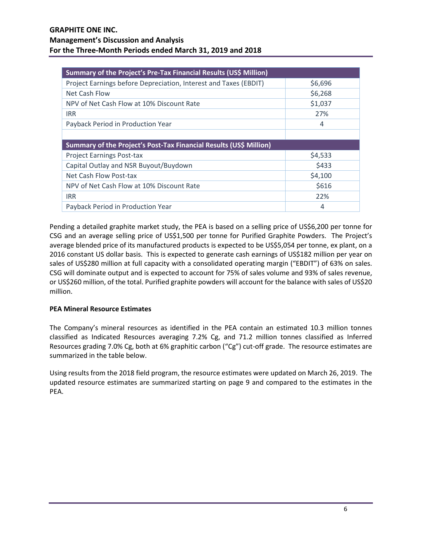| Summary of the Project's Pre-Tax Financial Results (US\$ Million)  |         |  |  |  |  |  |
|--------------------------------------------------------------------|---------|--|--|--|--|--|
| Project Earnings before Depreciation, Interest and Taxes (EBDIT)   | \$6,696 |  |  |  |  |  |
| Net Cash Flow                                                      | \$6,268 |  |  |  |  |  |
| NPV of Net Cash Flow at 10% Discount Rate                          | \$1,037 |  |  |  |  |  |
| <b>IRR</b>                                                         | 27%     |  |  |  |  |  |
| Payback Period in Production Year                                  | 4       |  |  |  |  |  |
|                                                                    |         |  |  |  |  |  |
| Summary of the Project's Post-Tax Financial Results (US\$ Million) |         |  |  |  |  |  |
| <b>Project Earnings Post-tax</b>                                   | \$4,533 |  |  |  |  |  |
| Capital Outlay and NSR Buyout/Buydown                              | \$433   |  |  |  |  |  |
| Net Cash Flow Post-tax                                             | \$4,100 |  |  |  |  |  |
| NPV of Net Cash Flow at 10% Discount Rate                          | \$616   |  |  |  |  |  |
| <b>IRR</b>                                                         | 22%     |  |  |  |  |  |
|                                                                    |         |  |  |  |  |  |

Pending a detailed graphite market study, the PEA is based on a selling price of US\$6,200 per tonne for CSG and an average selling price of US\$1,500 per tonne for Purified Graphite Powders. The Project's average blended price of its manufactured products is expected to be US\$5,054 per tonne, ex plant, on a 2016 constant US dollar basis. This is expected to generate cash earnings of US\$182 million per year on sales of US\$280 million at full capacity with a consolidated operating margin ("EBDIT") of 63% on sales. CSG will dominate output and is expected to account for 75% of sales volume and 93% of sales revenue, or US\$260 million, of the total. Purified graphite powders will account for the balance with sales of US\$20 million.

## **PEA Mineral Resource Estimates**

The Company's mineral resources as identified in the PEA contain an estimated 10.3 million tonnes classified as Indicated Resources averaging 7.2% Cg, and 71.2 million tonnes classified as Inferred Resources grading 7.0% Cg, both at 6% graphitic carbon ("Cg") cut-off grade. The resource estimates are summarized in the table below.

Using results from the 2018 field program, the resource estimates were updated on March 26, 2019. The updated resource estimates are summarized starting on page 9 and compared to the estimates in the PEA.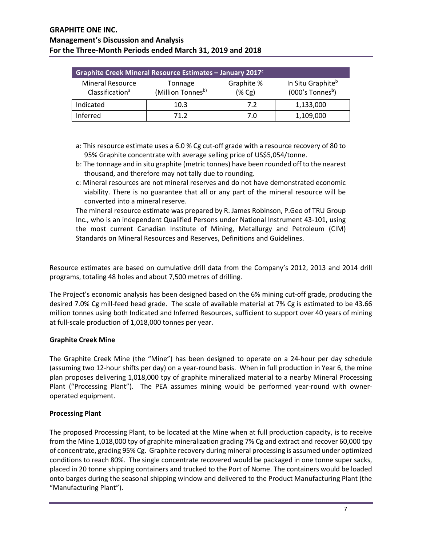| Graphite Creek Mineral Resource Estimates - January 2017 <sup>c</sup> |                              |                      |                                                                 |  |  |  |  |  |  |
|-----------------------------------------------------------------------|------------------------------|----------------------|-----------------------------------------------------------------|--|--|--|--|--|--|
| <b>Mineral Resource</b><br>Classification <sup>a</sup>                | Tonnage<br>(Million Tonnesb) | Graphite %<br>(% Cg) | In Situ Graphite <sup>b</sup><br>$(000's$ Tonnes <sup>b</sup> ) |  |  |  |  |  |  |
| Indicated                                                             | 10.3                         | 7.2                  | 1,133,000                                                       |  |  |  |  |  |  |
| Inferred                                                              | 71 2                         | 7.0                  | 1,109,000                                                       |  |  |  |  |  |  |

- a: This resource estimate uses a 6.0 % Cg cut-off grade with a resource recovery of 80 to 95% Graphite concentrate with average selling price of US\$5,054/tonne.
- b: The tonnage and in situ graphite (metric tonnes) have been rounded off to the nearest thousand, and therefore may not tally due to rounding.
- c: Mineral resources are not mineral reserves and do not have demonstrated economic viability. There is no guarantee that all or any part of the mineral resource will be converted into a mineral reserve.

The mineral resource estimate was prepared by R. James Robinson, P.Geo of TRU Group Inc., who is an independent Qualified Persons under National Instrument 43-101, using the most current Canadian Institute of Mining, Metallurgy and Petroleum (CIM) Standards on Mineral Resources and Reserves, Definitions and Guidelines.

Resource estimates are based on cumulative drill data from the Company's 2012, 2013 and 2014 drill programs, totaling 48 holes and about 7,500 metres of drilling.

The Project's economic analysis has been designed based on the 6% mining cut-off grade, producing the desired 7.0% Cg mill-feed head grade. The scale of available material at 7% Cg is estimated to be 43.66 million tonnes using both Indicated and Inferred Resources, sufficient to support over 40 years of mining at full-scale production of 1,018,000 tonnes per year.

## **Graphite Creek Mine**

The Graphite Creek Mine (the "Mine") has been designed to operate on a 24-hour per day schedule (assuming two 12-hour shifts per day) on a year-round basis. When in full production in Year 6, the mine plan proposes delivering 1,018,000 tpy of graphite mineralized material to a nearby Mineral Processing Plant ("Processing Plant"). The PEA assumes mining would be performed year-round with owneroperated equipment.

### **Processing Plant**

The proposed Processing Plant, to be located at the Mine when at full production capacity, is to receive from the Mine 1,018,000 tpy of graphite mineralization grading 7% Cg and extract and recover 60,000 tpy of concentrate, grading 95% Cg. Graphite recovery during mineral processing is assumed under optimized conditions to reach 80%. The single concentrate recovered would be packaged in one tonne super sacks, placed in 20 tonne shipping containers and trucked to the Port of Nome. The containers would be loaded onto barges during the seasonal shipping window and delivered to the Product Manufacturing Plant (the "Manufacturing Plant").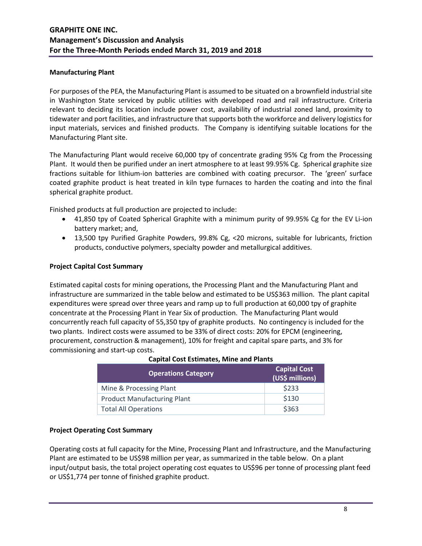### **Manufacturing Plant**

For purposes of the PEA, the Manufacturing Plant is assumed to be situated on a brownfield industrial site in Washington State serviced by public utilities with developed road and rail infrastructure. Criteria relevant to deciding its location include power cost, availability of industrial zoned land, proximity to tidewater and port facilities, and infrastructure that supports both the workforce and delivery logistics for input materials, services and finished products. The Company is identifying suitable locations for the Manufacturing Plant site.

The Manufacturing Plant would receive 60,000 tpy of concentrate grading 95% Cg from the Processing Plant. It would then be purified under an inert atmosphere to at least 99.95% Cg. Spherical graphite size fractions suitable for lithium-ion batteries are combined with coating precursor. The 'green' surface coated graphite product is heat treated in kiln type furnaces to harden the coating and into the final spherical graphite product.

Finished products at full production are projected to include:

- 41,850 tpy of Coated Spherical Graphite with a minimum purity of 99.95% Cg for the EV Li-ion battery market; and,
- 13,500 tpy Purified Graphite Powders, 99.8% Cg, <20 microns, suitable for lubricants, friction products, conductive polymers, specialty powder and metallurgical additives.

### **Project Capital Cost Summary**

Estimated capital costs for mining operations, the Processing Plant and the Manufacturing Plant and infrastructure are summarized in the table below and estimated to be US\$363 million. The plant capital expenditures were spread over three years and ramp up to full production at 60,000 tpy of graphite concentrate at the Processing Plant in Year Six of production. The Manufacturing Plant would concurrently reach full capacity of 55,350 tpy of graphite products. No contingency is included for the two plants. Indirect costs were assumed to be 33% of direct costs: 20% for EPCM (engineering, procurement, construction & management), 10% for freight and capital spare parts, and 3% for commissioning and start-up costs.

| <b>Operations Category</b>         | <b>Capital Cost</b><br>(US\$ millions) |
|------------------------------------|----------------------------------------|
| Mine & Processing Plant            | \$233                                  |
| <b>Product Manufacturing Plant</b> | \$130                                  |
| <b>Total All Operations</b>        | \$363                                  |

### **Capital Cost Estimates, Mine and Plants**

### **Project Operating Cost Summary**

Operating costs at full capacity for the Mine, Processing Plant and Infrastructure, and the Manufacturing Plant are estimated to be US\$98 million per year, as summarized in the table below. On a plant input/output basis, the total project operating cost equates to US\$96 per tonne of processing plant feed or US\$1,774 per tonne of finished graphite product.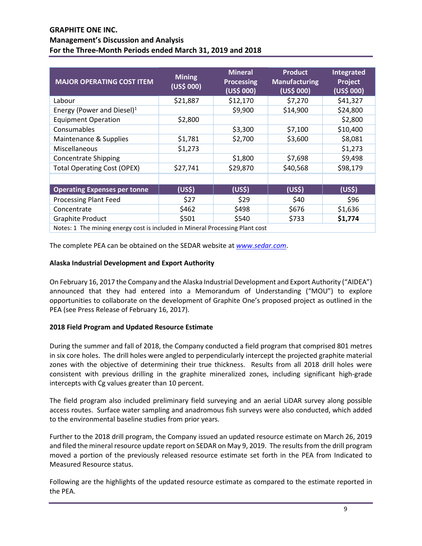| <b>MAJOR OPERATING COST ITEM</b>                                             | <b>Mining</b><br>(US\$000) | <b>Mineral</b><br><b>Processing</b><br>(US\$ 000) | <b>Product</b><br><b>Manufacturing</b><br>(US\$ 000) | <b>Integrated</b><br>Project<br>(US\$ 000) |
|------------------------------------------------------------------------------|----------------------------|---------------------------------------------------|------------------------------------------------------|--------------------------------------------|
| Labour                                                                       | \$21,887                   | \$12,170                                          | \$7,270                                              | \$41,327                                   |
| Energy (Power and Diesel) $1$                                                |                            | \$9,900                                           | \$14,900                                             | \$24,800                                   |
| <b>Equipment Operation</b>                                                   | \$2,800                    |                                                   |                                                      | \$2,800                                    |
| Consumables                                                                  |                            | \$3,300                                           | \$7,100                                              | \$10,400                                   |
| Maintenance & Supplies                                                       | \$1,781                    | \$2,700                                           | \$3,600                                              | \$8,081                                    |
| Miscellaneous                                                                | \$1,273                    |                                                   |                                                      | \$1,273                                    |
| <b>Concentrate Shipping</b>                                                  |                            | \$1,800                                           | \$7,698                                              | \$9,498                                    |
| <b>Total Operating Cost (OPEX)</b>                                           | \$27,741                   | \$29,870                                          | \$40,568                                             | \$98,179                                   |
|                                                                              |                            |                                                   |                                                      |                                            |
| <b>Operating Expenses per tonne</b>                                          | (US\$)                     | (US <sup>5</sup> )                                | (US <sup>5</sup> )                                   | (US <sup>5</sup> )                         |
| <b>Processing Plant Feed</b>                                                 | \$27                       | \$29                                              | \$40                                                 | \$96                                       |
| Concentrate                                                                  | \$462                      | \$498                                             | \$676                                                | \$1,636                                    |
| <b>Graphite Product</b>                                                      | \$501                      | \$540                                             | \$733                                                | \$1,774                                    |
| Notes: 1 The mining energy cost is included in Mineral Processing Plant cost |                            |                                                   |                                                      |                                            |

The complete PEA can be obtained on the SEDAR website at *[www.sedar.com](https://www.sedar.com/search/search_form_pc_en.htm)*.

### **Alaska Industrial Development and Export Authority**

On February 16, 2017 the Company and the Alaska Industrial Development and Export Authority ("AIDEA") announced that they had entered into a Memorandum of Understanding ("MOU") to explore opportunities to collaborate on the development of Graphite One's proposed project as outlined in the PEA (see Press Release of February 16, 2017).

### **2018 Field Program and Updated Resource Estimate**

During the summer and fall of 2018, the Company conducted a field program that comprised 801 metres in six core holes. The drill holes were angled to perpendicularly intercept the projected graphite material zones with the objective of determining their true thickness. Results from all 2018 drill holes were consistent with previous drilling in the graphite mineralized zones, including significant high-grade intercepts with Cg values greater than 10 percent.

The field program also included preliminary field surveying and an aerial LiDAR survey along possible access routes. Surface water sampling and anadromous fish surveys were also conducted, which added to the environmental baseline studies from prior years.

Further to the 2018 drill program, the Company issued an updated resource estimate on March 26, 2019 and filed the mineral resource update report on SEDAR on May 9, 2019. The results from the drill program moved a portion of the previously released resource estimate set forth in the PEA from Indicated to Measured Resource status.

Following are the highlights of the updated resource estimate as compared to the estimate reported in the PEA.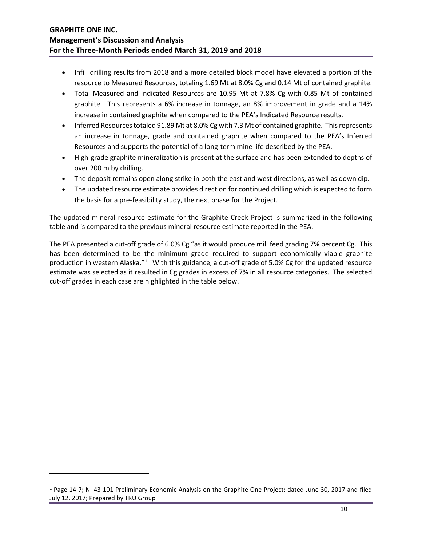- Infill drilling results from 2018 and a more detailed block model have elevated a portion of the resource to Measured Resources, totaling 1.69 Mt at 8.0% Cg and 0.14 Mt of contained graphite.
- Total Measured and Indicated Resources are 10.95 Mt at 7.8% Cg with 0.85 Mt of contained graphite. This represents a 6% increase in tonnage, an 8% improvement in grade and a 14% increase in contained graphite when compared to the PEA's Indicated Resource results.
- Inferred Resources totaled 91.89 Mt at 8.0% Cg with 7.3 Mt of contained graphite. This represents an increase in tonnage, grade and contained graphite when compared to the PEA's Inferred Resources and supports the potential of a long-term mine life described by the PEA.
- High-grade graphite mineralization is present at the surface and has been extended to depths of over 200 m by drilling.
- The deposit remains open along strike in both the east and west directions, as well as down dip.
- The updated resource estimate provides direction for continued drilling which is expected to form the basis for a pre-feasibility study, the next phase for the Project.

The updated mineral resource estimate for the Graphite Creek Project is summarized in the following table and is compared to the previous mineral resource estimate reported in the PEA.

The PEA presented a cut-off grade of 6.0% Cg "as it would produce mill feed grading 7% percent Cg. This has been determined to be the minimum grade required to support economically viable graphite production in western Alaska."<sup>[1](#page-9-0)</sup> With this guidance, a cut-off grade of 5.0% Cg for the updated resource estimate was selected as it resulted in Cg grades in excess of 7% in all resource categories. The selected cut-off grades in each case are highlighted in the table below.

 $\overline{\phantom{a}}$ 

<span id="page-9-0"></span><sup>1</sup> Page 14-7; NI 43-101 Preliminary Economic Analysis on the Graphite One Project; dated June 30, 2017 and filed July 12, 2017; Prepared by TRU Group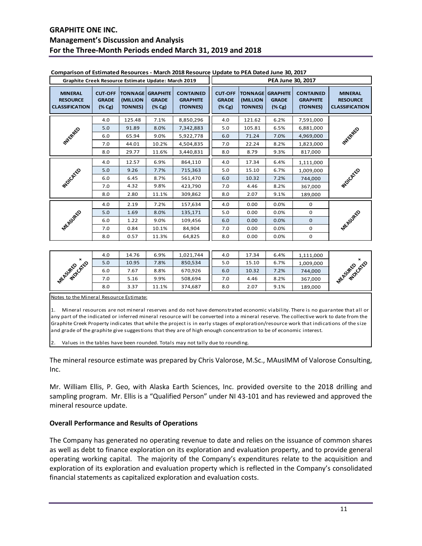|                                                            | Graphite Creek Resource Estimate Update: March 2019 |                                              |                                              |                                                 |                                                       |                             | PEA June 30, 2017                                              |                                                 |                                                            |
|------------------------------------------------------------|-----------------------------------------------------|----------------------------------------------|----------------------------------------------|-------------------------------------------------|-------------------------------------------------------|-----------------------------|----------------------------------------------------------------|-------------------------------------------------|------------------------------------------------------------|
| <b>MINERAL</b><br><b>RESOURCE</b><br><b>CLASSIFICATION</b> | <b>CUT-OFF</b><br><b>GRADE</b><br>$(\% Cg)$         | <b>TONNAGE</b><br>(MILLION<br><b>TONNES)</b> | <b>GRAPHITE</b><br><b>GRADE</b><br>$(\% Cg)$ | <b>CONTAINED</b><br><b>GRAPHITE</b><br>(TONNES) | <b>CUT-OFF</b><br><b>GRADE</b><br>$(\% \, \text{Cg})$ | (MILLION<br><b>TONNES</b> ) | <b>TONNAGE GRAPHITE</b><br><b>GRADE</b><br>$(\% \, \text{Cg})$ | <b>CONTAINED</b><br><b>GRAPHITE</b><br>(TONNES) | <b>MINERAL</b><br><b>RESOURCE</b><br><b>CLASSIFICATION</b> |
|                                                            | 4.0                                                 | 125.48                                       | 7.1%                                         | 8,850,296                                       | 4.0                                                   | 121.62                      | 6.2%                                                           | 7,591,000                                       |                                                            |
|                                                            | 5.0                                                 | 91.89                                        | 8.0%                                         | 7,342,883                                       | 5.0                                                   | 105.81                      | 6.5%                                                           | 6,881,000                                       |                                                            |
| WESTERFEE                                                  | 6.0                                                 | 65.94                                        | 9.0%                                         | 5,922,778                                       | 6.0                                                   | 71.24                       | 7.0%                                                           | 4,969,000                                       | <b>MITERRALD</b>                                           |
|                                                            | 7.0                                                 | 44.01                                        | 10.2%                                        | 4,504,835                                       | 7.0                                                   | 22.24                       | 8.2%                                                           | 1,823,000                                       |                                                            |
|                                                            | 8.0                                                 | 29.77                                        | 11.6%                                        | 3,440,831                                       | 8.0                                                   | 8.79                        | 9.3%                                                           | 817,000                                         |                                                            |
|                                                            | 4.0                                                 | 12.57                                        | 6.9%                                         | 864,110                                         | 4.0                                                   | 17.34                       | 6.4%                                                           | 1,111,000                                       |                                                            |
|                                                            | 5.0                                                 | 9.26                                         | 7.7%                                         | 715,363                                         | 5.0                                                   | 15.10                       | 6.7%                                                           | 1,009,000                                       |                                                            |
| <b>MOUCHILES</b>                                           | 6.0                                                 | 6.45                                         | 8.7%                                         | 561,470                                         | 6.0                                                   | 10.32                       | 7.2%                                                           | 744,000                                         | <b>PEOLOGY</b> CO                                          |
|                                                            | 7.0                                                 | 4.32                                         | 9.8%                                         | 423,790                                         | 7.0                                                   | 4.46                        | 8.2%                                                           | 367,000                                         |                                                            |
|                                                            | 8.0                                                 | 2.80                                         | 11.1%                                        | 309,862                                         | 8.0                                                   | 2.07                        | 9.1%                                                           | 189,000                                         |                                                            |
|                                                            | 4.0                                                 | 2.19                                         | 7.2%                                         | 157,634                                         | 4.0                                                   | 0.00                        | 0.0%                                                           | $\mathbf 0$                                     |                                                            |
|                                                            | 5.0                                                 | 1.69                                         | 8.0%                                         | 135,171                                         | 5.0                                                   | 0.00                        | 0.0%                                                           | 0                                               |                                                            |
|                                                            | 6.0                                                 | 1.22                                         | 9.0%                                         | 109,456                                         | 6.0                                                   | 0.00                        | 0.0%                                                           | $\mathbf{O}$                                    |                                                            |
| <b>MEASURED</b>                                            | 7.0                                                 | 0.84                                         | 10.1%                                        | 84,904                                          | 7.0                                                   | 0.00                        | 0.0%                                                           | $\mathbf 0$                                     | <b>MEASURED</b>                                            |
|                                                            | 8.0                                                 | 0.57                                         | 11.3%                                        | 64,825                                          | 8.0                                                   | 0.00                        | 0.0%                                                           | 0                                               |                                                            |

#### **Comparison of Estimated Resources - March 2018 Resource Update to PEA Dated June 30, 2017**

|                                     | 4.0 | 14.76 | 6.9%  | 1,021,744 | 4.0 | 17.34 | 6.4% | 1,111,000 |                              |
|-------------------------------------|-----|-------|-------|-----------|-----|-------|------|-----------|------------------------------|
| $\boldsymbol{\mathsf{x}}$           | 5.0 | 10.95 | .8%   | 850,534   | 5.0 | 15.10 | 6.7% | 1,009,000 | $\boldsymbol{\mathsf{x}}$    |
| <b>NUOLEKE</b> D<br><b>MEASURED</b> | 6.0 | .67   | 8.8%  | 670,926   | 6.0 | 10.32 | 7.2% | 744,000   | MUDICATED<br><b>MEASURED</b> |
|                                     | 7.0 | 5.16  | 9.9%  | 508.694   | 7.0 | 4.46  | 8.2% | 367,000   |                              |
|                                     | 8.0 | 3.37  | 11.1% | 374,687   | 8.0 | 2.07  | 9.1% | 189,000   |                              |

Notes to the Mineral Resource Estimate:

1. Mineral resources are not mineral reserves and do not have demonstrated economic viability. There is no guarantee that all or any part of the indicated or inferred mineral resource will be converted into a mineral reserve. The collective work to date from the Graphite Creek Property indicates that while the project is in early stages of exploration/resource work that indications of the size and grade of the graphite give suggestions that they are of high enough concentration to be of economic interest.

Values in the tables have been rounded. Totals may not tally due to rounding.

The mineral resource estimate was prepared by Chris Valorose, M.Sc., MAusIMM of Valorose Consulting, Inc.

Mr. William Ellis, P. Geo, with Alaska Earth Sciences, Inc. provided oversite to the 2018 drilling and sampling program. Mr. Ellis is a "Qualified Person" under NI 43-101 and has reviewed and approved the mineral resource update.

### **Overall Performance and Results of Operations**

The Company has generated no operating revenue to date and relies on the issuance of common shares as well as debt to finance exploration on its exploration and evaluation property, and to provide general operating working capital. The majority of the Company's expenditures relate to the acquisition and exploration of its exploration and evaluation property which is reflected in the Company's consolidated financial statements as capitalized exploration and evaluation costs.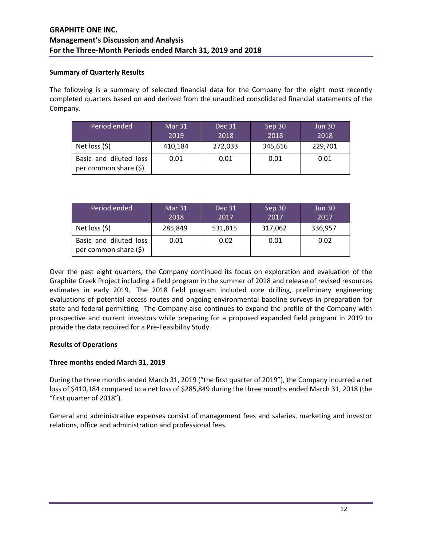### **Summary of Quarterly Results**

The following is a summary of selected financial data for the Company for the eight most recently completed quarters based on and derived from the unaudited consolidated financial statements of the Company.

| Period ended                                    | Mar 31<br>2019 | Dec 31<br>2018 | Sep 30<br>2018 | <b>Jun 30</b><br>2018 |
|-------------------------------------------------|----------------|----------------|----------------|-----------------------|
| Net loss $(5)$                                  | 410,184        | 272,033        | 345,616        | 229,701               |
| Basic and diluted loss<br>per common share (\$) | 0.01           | 0.01           | 0.01           | 0.01                  |

| Period ended                                    | Mar 31<br>2018 | <b>Dec 31</b><br>2017 | Sep 30<br>2017 | <b>Jun 30</b><br>2017 |
|-------------------------------------------------|----------------|-----------------------|----------------|-----------------------|
| Net loss $(5)$                                  | 285,849        | 531,815               | 317,062        | 336,957               |
| Basic and diluted loss<br>per common share (\$) | 0.01           | 0.02                  | 0.01           | 0.02                  |

Over the past eight quarters, the Company continued its focus on exploration and evaluation of the Graphite Creek Project including a field program in the summer of 2018 and release of revised resources estimates in early 2019. The 2018 field program included core drilling, preliminary engineering evaluations of potential access routes and ongoing environmental baseline surveys in preparation for state and federal permitting. The Company also continues to expand the profile of the Company with prospective and current investors while preparing for a proposed expanded field program in 2019 to provide the data required for a Pre-Feasibility Study.

## **Results of Operations**

## **Three months ended March 31, 2019**

During the three months ended March 31, 2019 ("the first quarter of 2019"), the Company incurred a net loss of \$410,184 compared to a net loss of \$285,849 during the three months ended March 31, 2018 (the "first quarter of 2018").

General and administrative expenses consist of management fees and salaries, marketing and investor relations, office and administration and professional fees.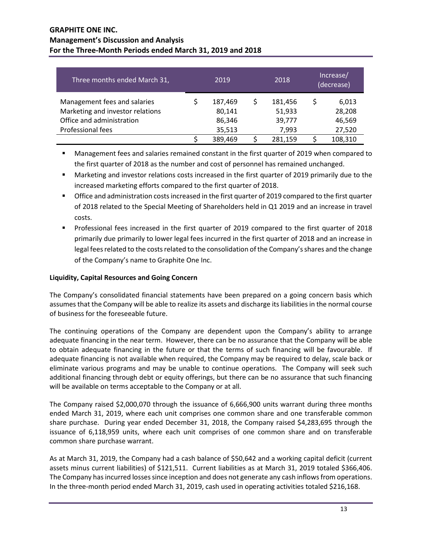| Three months ended March 31,                                                                                       | 2019 |                                       | 2018                                 | Increase/<br>(decrease) |                                     |
|--------------------------------------------------------------------------------------------------------------------|------|---------------------------------------|--------------------------------------|-------------------------|-------------------------------------|
| Management fees and salaries<br>Marketing and investor relations<br>Office and administration<br>Professional fees |      | 187,469<br>80,141<br>86,346<br>35,513 | 181,456<br>51,933<br>39,777<br>7,993 | \$                      | 6,013<br>28,208<br>46,569<br>27,520 |
|                                                                                                                    |      | 389,469                               | 281,159                              |                         | 108,310                             |

 Management fees and salaries remained constant in the first quarter of 2019 when compared to the first quarter of 2018 as the number and cost of personnel has remained unchanged.

- Marketing and investor relations costs increased in the first quarter of 2019 primarily due to the increased marketing efforts compared to the first quarter of 2018.
- Office and administration costs increased in the first quarter of 2019 compared to the first quarter of 2018 related to the Special Meeting of Shareholders held in Q1 2019 and an increase in travel costs.
- **Professional fees increased in the first quarter of 2019 compared to the first quarter of 2018** primarily due primarily to lower legal fees incurred in the first quarter of 2018 and an increase in legal fees related to the costs related to the consolidation of the Company's shares and the change of the Company's name to Graphite One Inc.

# **Liquidity, Capital Resources and Going Concern**

The Company's consolidated financial statements have been prepared on a going concern basis which assumes that the Company will be able to realize its assets and discharge its liabilities in the normal course of business for the foreseeable future.

The continuing operations of the Company are dependent upon the Company's ability to arrange adequate financing in the near term. However, there can be no assurance that the Company will be able to obtain adequate financing in the future or that the terms of such financing will be favourable. If adequate financing is not available when required, the Company may be required to delay, scale back or eliminate various programs and may be unable to continue operations. The Company will seek such additional financing through debt or equity offerings, but there can be no assurance that such financing will be available on terms acceptable to the Company or at all.

The Company raised \$2,000,070 through the issuance of 6,666,900 units warrant during three months ended March 31, 2019, where each unit comprises one common share and one transferable common share purchase. During year ended December 31, 2018, the Company raised \$4,283,695 through the issuance of 6,118,959 units, where each unit comprises of one common share and on transferable common share purchase warrant.

As at March 31, 2019, the Company had a cash balance of \$50,642 and a working capital deficit (current assets minus current liabilities) of \$121,511. Current liabilities as at March 31, 2019 totaled \$366,406. The Company has incurred losses since inception and does not generate any cash inflows from operations. In the three-month period ended March 31, 2019, cash used in operating activities totaled \$216,168.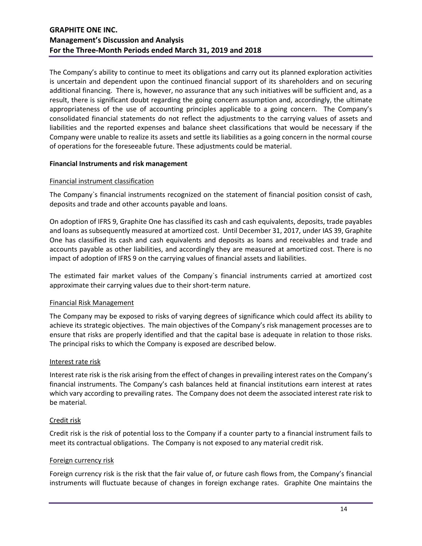The Company's ability to continue to meet its obligations and carry out its planned exploration activities is uncertain and dependent upon the continued financial support of its shareholders and on securing additional financing. There is, however, no assurance that any such initiatives will be sufficient and, as a result, there is significant doubt regarding the going concern assumption and, accordingly, the ultimate appropriateness of the use of accounting principles applicable to a going concern. The Company's consolidated financial statements do not reflect the adjustments to the carrying values of assets and liabilities and the reported expenses and balance sheet classifications that would be necessary if the Company were unable to realize its assets and settle its liabilities as a going concern in the normal course of operations for the foreseeable future. These adjustments could be material.

### **Financial Instruments and risk management**

### Financial instrument classification

The Company`s financial instruments recognized on the statement of financial position consist of cash, deposits and trade and other accounts payable and loans.

On adoption of IFRS 9, Graphite One has classified its cash and cash equivalents, deposits, trade payables and loans as subsequently measured at amortized cost. Until December 31, 2017, under IAS 39, Graphite One has classified its cash and cash equivalents and deposits as loans and receivables and trade and accounts payable as other liabilities, and accordingly they are measured at amortized cost. There is no impact of adoption of IFRS 9 on the carrying values of financial assets and liabilities.

The estimated fair market values of the Company`s financial instruments carried at amortized cost approximate their carrying values due to their short-term nature.

### Financial Risk Management

The Company may be exposed to risks of varying degrees of significance which could affect its ability to achieve its strategic objectives. The main objectives of the Company's risk management processes are to ensure that risks are properly identified and that the capital base is adequate in relation to those risks. The principal risks to which the Company is exposed are described below.

### Interest rate risk

Interest rate risk is the risk arising from the effect of changes in prevailing interest rates on the Company's financial instruments. The Company's cash balances held at financial institutions earn interest at rates which vary according to prevailing rates. The Company does not deem the associated interest rate risk to be material.

### Credit risk

Credit risk is the risk of potential loss to the Company if a counter party to a financial instrument fails to meet its contractual obligations. The Company is not exposed to any material credit risk.

### Foreign currency risk

Foreign currency risk is the risk that the fair value of, or future cash flows from, the Company's financial instruments will fluctuate because of changes in foreign exchange rates. Graphite One maintains the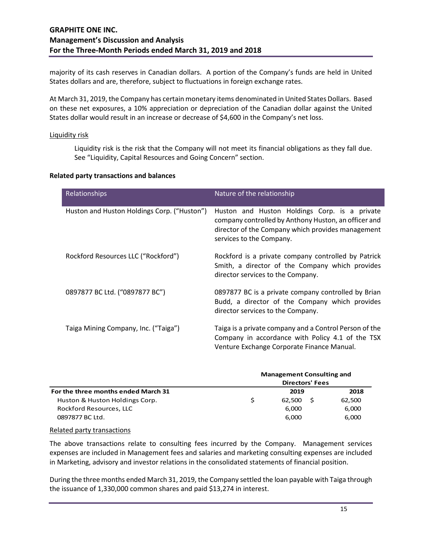majority of its cash reserves in Canadian dollars. A portion of the Company's funds are held in United States dollars and are, therefore, subject to fluctuations in foreign exchange rates.

At March 31, 2019, the Company has certain monetary items denominated in United States Dollars. Based on these net exposures, a 10% appreciation or depreciation of the Canadian dollar against the United States dollar would result in an increase or decrease of \$4,600 in the Company's net loss.

#### Liquidity risk

Liquidity risk is the risk that the Company will not meet its financial obligations as they fall due. See "Liquidity, Capital Resources and Going Concern" section.

#### **Related party transactions and balances**

| Relationships                               | Nature of the relationship                                                                                                                                                             |  |  |  |  |  |  |
|---------------------------------------------|----------------------------------------------------------------------------------------------------------------------------------------------------------------------------------------|--|--|--|--|--|--|
| Huston and Huston Holdings Corp. ("Huston") | Huston and Huston Holdings Corp. is a private<br>company controlled by Anthony Huston, an officer and<br>director of the Company which provides management<br>services to the Company. |  |  |  |  |  |  |
| Rockford Resources LLC ("Rockford")         | Rockford is a private company controlled by Patrick<br>Smith, a director of the Company which provides<br>director services to the Company.                                            |  |  |  |  |  |  |
| 0897877 BC Ltd. ("0897877 BC")              | 0897877 BC is a private company controlled by Brian<br>Budd, a director of the Company which provides<br>director services to the Company.                                             |  |  |  |  |  |  |
| Taiga Mining Company, Inc. ("Taiga")        | Taiga is a private company and a Control Person of the<br>Company in accordance with Policy 4.1 of the TSX<br>Venture Exchange Corporate Finance Manual.                               |  |  |  |  |  |  |

|                                     | <b>Management Consulting and</b><br><b>Directors' Fees</b> |        |  |        |  |
|-------------------------------------|------------------------------------------------------------|--------|--|--------|--|
|                                     |                                                            |        |  |        |  |
| For the three months ended March 31 |                                                            | 2019   |  | 2018   |  |
| Huston & Huston Holdings Corp.      |                                                            | 62.500 |  | 62,500 |  |
| Rockford Resources, LLC             |                                                            | 6,000  |  | 6,000  |  |
| 0897877 BC Ltd.                     |                                                            | 6.000  |  | 6,000  |  |

#### Related party transactions

The above transactions relate to consulting fees incurred by the Company. Management services expenses are included in Management fees and salaries and marketing consulting expenses are included in Marketing, advisory and investor relations in the consolidated statements of financial position.

During the three months ended March 31, 2019, the Company settled the loan payable with Taiga through the issuance of 1,330,000 common shares and paid \$13,274 in interest.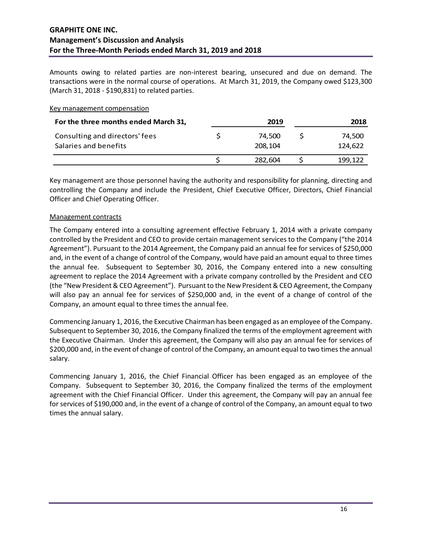Amounts owing to related parties are non-interest bearing, unsecured and due on demand. The transactions were in the normal course of operations. At March 31, 2019, the Company owed \$123,300 (March 31, 2018 - \$190,831) to related parties.

#### Key management compensation

| For the three months ended March 31,                    | 2019              | 2018 |                   |  |
|---------------------------------------------------------|-------------------|------|-------------------|--|
| Consulting and directors' fees<br>Salaries and benefits | 74.500<br>208.104 |      | 74.500<br>124.622 |  |
|                                                         | 282.604           |      | 199.122           |  |

Key management are those personnel having the authority and responsibility for planning, directing and controlling the Company and include the President, Chief Executive Officer, Directors, Chief Financial Officer and Chief Operating Officer.

#### Management contracts

The Company entered into a consulting agreement effective February 1, 2014 with a private company controlled by the President and CEO to provide certain management services to the Company ("the 2014 Agreement"). Pursuant to the 2014 Agreement, the Company paid an annual fee for services of \$250,000 and, in the event of a change of control of the Company, would have paid an amount equal to three times the annual fee. Subsequent to September 30, 2016, the Company entered into a new consulting agreement to replace the 2014 Agreement with a private company controlled by the President and CEO (the "New President & CEO Agreement"). Pursuant to the New President & CEO Agreement, the Company will also pay an annual fee for services of \$250,000 and, in the event of a change of control of the Company, an amount equal to three times the annual fee.

Commencing January 1, 2016, the Executive Chairman has been engaged as an employee of the Company. Subsequent to September 30, 2016, the Company finalized the terms of the employment agreement with the Executive Chairman. Under this agreement, the Company will also pay an annual fee for services of \$200,000 and, in the event of change of control of the Company, an amount equal to two times the annual salary.

Commencing January 1, 2016, the Chief Financial Officer has been engaged as an employee of the Company. Subsequent to September 30, 2016, the Company finalized the terms of the employment agreement with the Chief Financial Officer. Under this agreement, the Company will pay an annual fee for services of \$190,000 and, in the event of a change of control of the Company, an amount equal to two times the annual salary.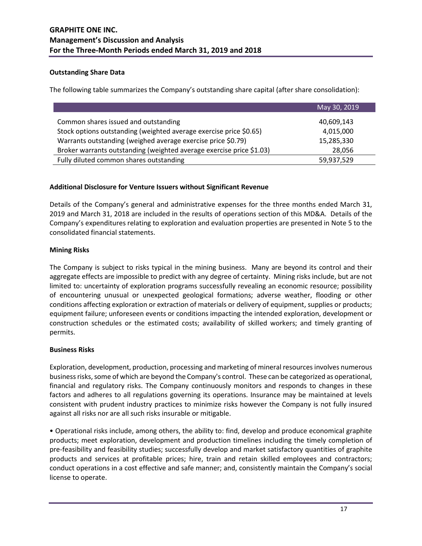### **Outstanding Share Data**

The following table summarizes the Company's outstanding share capital (after share consolidation):

|                                                                      | May 30, 2019 |
|----------------------------------------------------------------------|--------------|
| Common shares issued and outstanding                                 | 40,609,143   |
| Stock options outstanding (weighted average exercise price \$0.65)   | 4,015,000    |
| Warrants outstanding (weighed average exercise price \$0.79)         | 15,285,330   |
| Broker warrants outstanding (weighted average exercise price \$1.03) | 28,056       |
| Fully diluted common shares outstanding                              | 59,937,529   |

### **Additional Disclosure for Venture Issuers without Significant Revenue**

Details of the Company's general and administrative expenses for the three months ended March 31, 2019 and March 31, 2018 are included in the results of operations section of this MD&A. Details of the Company's expenditures relating to exploration and evaluation properties are presented in Note 5 to the consolidated financial statements.

### **Mining Risks**

The Company is subject to risks typical in the mining business. Many are beyond its control and their aggregate effects are impossible to predict with any degree of certainty. Mining risks include, but are not limited to: uncertainty of exploration programs successfully revealing an economic resource; possibility of encountering unusual or unexpected geological formations; adverse weather, flooding or other conditions affecting exploration or extraction of materials or delivery of equipment, supplies or products; equipment failure; unforeseen events or conditions impacting the intended exploration, development or construction schedules or the estimated costs; availability of skilled workers; and timely granting of permits.

### **Business Risks**

Exploration, development, production, processing and marketing of mineral resources involves numerous business risks, some of which are beyond the Company's control. These can be categorized as operational, financial and regulatory risks. The Company continuously monitors and responds to changes in these factors and adheres to all regulations governing its operations. Insurance may be maintained at levels consistent with prudent industry practices to minimize risks however the Company is not fully insured against all risks nor are all such risks insurable or mitigable.

• Operational risks include, among others, the ability to: find, develop and produce economical graphite products; meet exploration, development and production timelines including the timely completion of pre-feasibility and feasibility studies; successfully develop and market satisfactory quantities of graphite products and services at profitable prices; hire, train and retain skilled employees and contractors; conduct operations in a cost effective and safe manner; and, consistently maintain the Company's social license to operate.